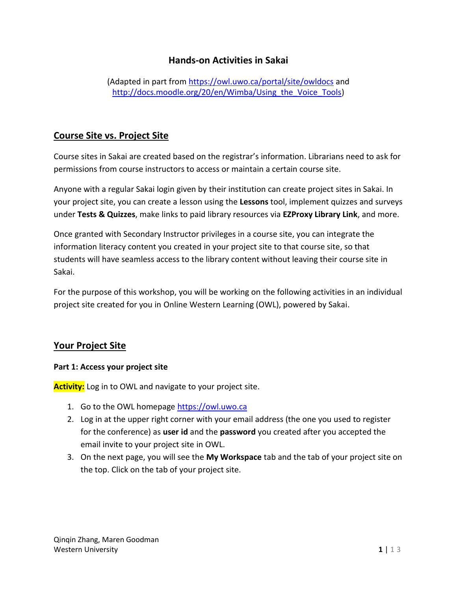# **Hands-on Activities in Sakai**

(Adapted in part from<https://owl.uwo.ca/portal/site/owldocs> and http://docs.moodle.org/20/en/Wimba/Using the Voice Tools)

# **Course Site vs. Project Site**

Course sites in Sakai are created based on the registrar's information. Librarians need to ask for permissions from course instructors to access or maintain a certain course site.

Anyone with a regular Sakai login given by their institution can create project sites in Sakai. In your project site, you can create a lesson using the **Lessons** tool, implement quizzes and surveys under **Tests & Quizzes**, make links to paid library resources via **EZProxy Library Link**, and more.

Once granted with Secondary Instructor privileges in a course site, you can integrate the information literacy content you created in your project site to that course site, so that students will have seamless access to the library content without leaving their course site in Sakai.

For the purpose of this workshop, you will be working on the following activities in an individual project site created for you in Online Western Learning (OWL), powered by Sakai.

## **Your Project Site**

#### **Part 1: Access your project site**

**Activity:** Log in to OWL and navigate to your project site.

- 1. Go to the OWL homepage [https://owl.uwo.ca](https://owl.uwo.ca/)
- 2. Log in at the upper right corner with your email address (the one you used to register for the conference) as **user id** and the **password** you created after you accepted the email invite to your project site in OWL.
- 3. On the next page, you will see the **My Workspace** tab and the tab of your project site on the top. Click on the tab of your project site.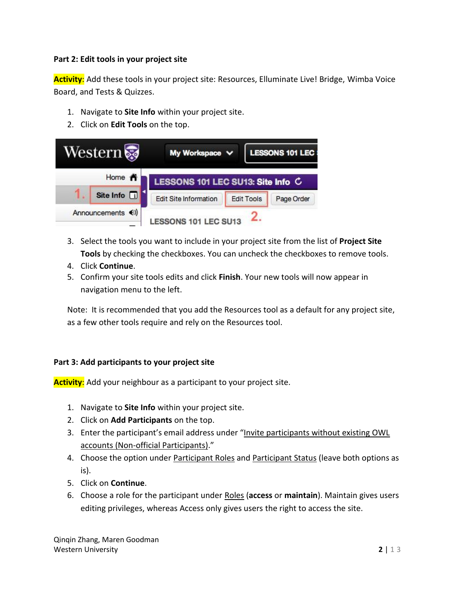#### **Part 2: Edit tools in your project site**

**Activity**: Add these tools in your project site: Resources, Elluminate Live! Bridge, Wimba Voice Board, and Tests & Quizzes.

- 1. Navigate to **Site Info** within your project site.
- 2. Click on **Edit Tools** on the top.

| <b>Western</b>    | My Workspace V                    |                   | <b>LESSONS 101 LEC:</b> |
|-------------------|-----------------------------------|-------------------|-------------------------|
| Home <del>n</del> | LESSONS 101 LEC SU13: Site Info C |                   |                         |
| Site Info [i]     | <b>Edit Site Information</b>      | <b>Edit Tools</b> | Page Order              |
| Announcements (0) | LESSONS 101 LEC SU13              |                   |                         |

- 3. Select the tools you want to include in your project site from the list of **Project Site Tools** by checking the checkboxes. You can uncheck the checkboxes to remove tools.
- 4. Click **Continue**.
- 5. Confirm your site tools edits and click **Finish**. Your new tools will now appear in navigation menu to the left.

Note: It is recommended that you add the Resources tool as a default for any project site, as a few other tools require and rely on the Resources tool.

## **Part 3: Add participants to your project site**

**Activity**: Add your neighbour as a participant to your project site.

- 1. Navigate to **Site Info** within your project site.
- 2. Click on **Add Participants** on the top.
- 3. Enter the participant's email address under "Invite participants without existing OWL accounts (Non-official Participants)."
- 4. Choose the option under Participant Roles and Participant Status (leave both options as is).
- 5. Click on **Continue**.
- 6. Choose a role for the participant under Roles (**access** or **maintain**). Maintain gives users editing privileges, whereas Access only gives users the right to access the site.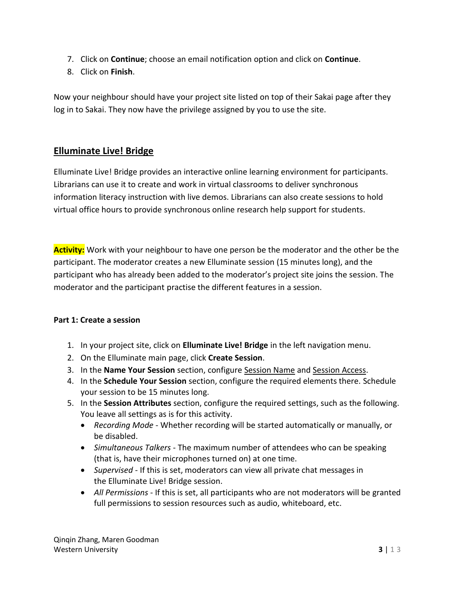- 7. Click on **Continue**; choose an email notification option and click on **Continue**.
- 8. Click on **Finish**.

Now your neighbour should have your project site listed on top of their Sakai page after they log in to Sakai. They now have the privilege assigned by you to use the site.

# **Elluminate Live! Bridge**

Elluminate Live! Bridge provides an interactive online learning environment for participants. Librarians can use it to create and work in virtual classrooms to deliver synchronous information literacy instruction with live demos. Librarians can also create sessions to hold virtual office hours to provide synchronous online research help support for students.

**Activity:** Work with your neighbour to have one person be the moderator and the other be the participant. The moderator creates a new Elluminate session (15 minutes long), and the participant who has already been added to the moderator's project site joins the session. The moderator and the participant practise the different features in a session.

## **Part 1: Create a session**

- 1. In your project site, click on **Elluminate Live! Bridge** in the left navigation menu.
- 2. On the Elluminate main page, click **Create Session**.
- 3. In the **Name Your Session** section, configure Session Name and Session Access.
- 4. In the **Schedule Your Session** section, configure the required elements there. Schedule your session to be 15 minutes long.
- 5. In the **Session Attributes** section, configure the required settings, such as the following. You leave all settings as is for this activity.
	- *Recording Mode* Whether recording will be started automatically or manually, or be disabled.
	- *Simultaneous Talkers* The maximum number of attendees who can be speaking (that is, have their microphones turned on) at one time.
	- *Supervised* If this is set, moderators can view all private chat messages in the Elluminate Live! Bridge session.
	- *All Permissions* If this is set, all participants who are not moderators will be granted full permissions to session resources such as audio, whiteboard, etc.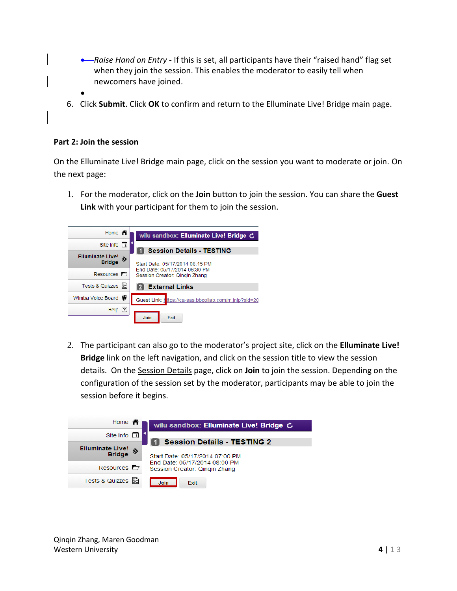- *Raise Hand on Entry* If this is set, all participants have their "raised hand" flag set when they join the session. This enables the moderator to easily tell when newcomers have joined.
- $\bullet$
- 6. Click **Submit**. Click **OK** to confirm and return to the Elluminate Live! Bridge main page.

#### **Part 2: Join the session**

On the Elluminate Live! Bridge main page, click on the session you want to moderate or join. On the next page:

1. For the moderator, click on the **Join** button to join the session. You can share the **Guest Link** with your participant for them to join the session.

| Home $\bigwedge$                         |   | wilu sandbox: Elluminate Live! Bridge C                             |
|------------------------------------------|---|---------------------------------------------------------------------|
| Site Info $\Box$                         |   |                                                                     |
| <b>Elluminate Live!</b><br><b>Bridge</b> | » | <b>Session Details - TESTING</b><br>Start Date: 05/17/2014 06:15 PM |
| Resources $\blacksquare$                 |   | End Date: 05/17/2014 06:30 PM<br>Session Creator: Qingin Zhang      |
| Tests & Quizzes                          | 鈞 | <b>External Links</b>                                               |
| Wimba Voice Board                        |   | Guest Link: https://ca-sas.bbcollab.com/m.jnlp?sid=20               |
| Help $[?]$                               |   |                                                                     |
|                                          |   | <b>Join</b><br>Exit                                                 |

2. The participant can also go to the moderator's project site, click on the **Elluminate Live! Bridge** link on the left navigation, and click on the session title to view the session details. On the Session Details page, click on **Join** to join the session. Depending on the configuration of the session set by the moderator, participants may be able to join the session before it begins.

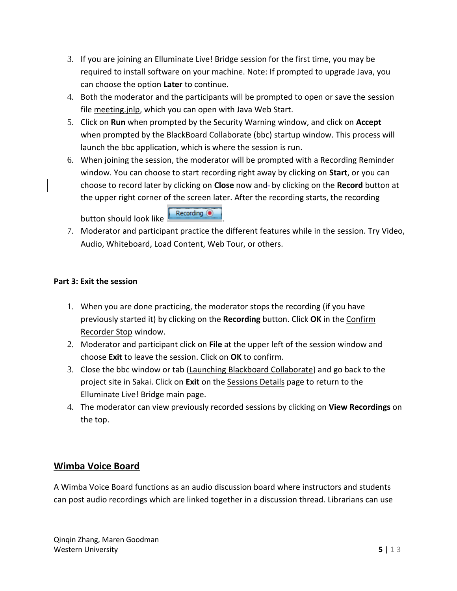- 3. If you are joining an Elluminate Live! Bridge session for the first time, you may be required to install software on your machine. Note: If prompted to upgrade Java, you can choose the option **Later** to continue.
- 4. Both the moderator and the participants will be prompted to open or save the session file meeting.jnlp, which you can open with Java Web Start.
- 5. Click on **Run** when prompted by the Security Warning window, and click on **Accept** when prompted by the BlackBoard Collaborate (bbc) startup window. This process will launch the bbc application, which is where the session is run.
- 6. When joining the session, the moderator will be prompted with a Recording Reminder window. You can choose to start recording right away by clicking on **Start**, or you can choose to record later by clicking on **Close** now and by clicking on the **Record** button at the upper right corner of the screen later. After the recording starts, the recording

button should look like **Recording O** 

7. Moderator and participant practice the different features while in the session. Try Video, Audio, Whiteboard, Load Content, Web Tour, or others.

## **Part 3: Exit the session**

- 1. When you are done practicing, the moderator stops the recording (if you have previously started it) by clicking on the **Recording** button. Click **OK** in the Confirm Recorder Stop window.
- 2. Moderator and participant click on **File** at the upper left of the session window and choose **Exit** to leave the session. Click on **OK** to confirm.
- 3. Close the bbc window or tab (Launching Blackboard Collaborate) and go back to the project site in Sakai. Click on **Exit** on the Sessions Details page to return to the Elluminate Live! Bridge main page.
- 4. The moderator can view previously recorded sessions by clicking on **View Recordings** on the top.

# **Wimba Voice Board**

A Wimba Voice Board functions as an audio discussion board where instructors and students can post audio recordings which are linked together in a discussion thread. Librarians can use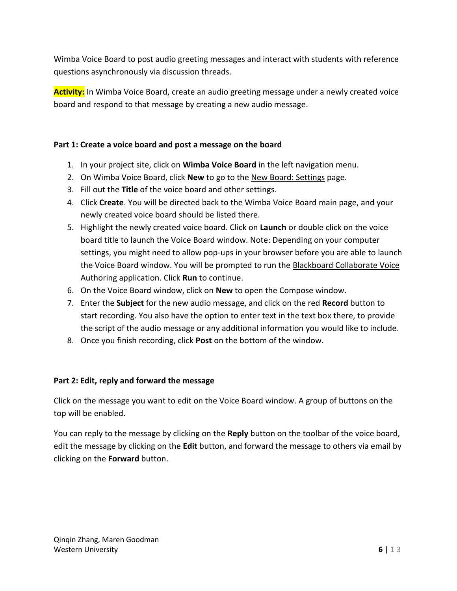Wimba Voice Board to post audio greeting messages and interact with students with reference questions asynchronously via discussion threads.

**Activity:** In Wimba Voice Board, create an audio greeting message under a newly created voice board and respond to that message by creating a new audio message.

## **Part 1: Create a voice board and post a message on the board**

- 1. In your project site, click on **Wimba Voice Board** in the left navigation menu.
- 2. On Wimba Voice Board, click **New** to go to the New Board: Settings page.
- 3. Fill out the **Title** of the voice board and other settings.
- 4. Click **Create**. You will be directed back to the Wimba Voice Board main page, and your newly created voice board should be listed there.
- 5. Highlight the newly created voice board. Click on **Launch** or double click on the voice board title to launch the Voice Board window. Note: Depending on your computer settings, you might need to allow pop-ups in your browser before you are able to launch the Voice Board window. You will be prompted to run the Blackboard Collaborate Voice Authoring application. Click **Run** to continue.
- 6. On the Voice Board window, click on **New** to open the Compose window.
- 7. Enter the **Subject** for the new audio message, and click on the red **Record** button to start recording. You also have the option to enter text in the text box there, to provide the script of the audio message or any additional information you would like to include.
- 8. Once you finish recording, click **Post** on the bottom of the window.

## **Part 2: Edit, reply and forward the message**

Click on the message you want to edit on the Voice Board window. A group of buttons on the top will be enabled.

You can reply to the message by clicking on the **Reply** button on the toolbar of the voice board, edit the message by clicking on the **Edit** button, and forward the message to others via email by clicking on the **Forward** button.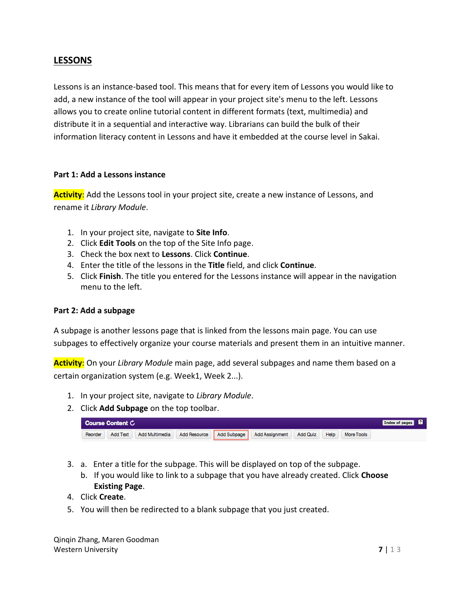# **LESSONS**

Lessons is an instance-based tool. This means that for every item of Lessons you would like to add, a new instance of the tool will appear in your project site's menu to the left. Lessons allows you to create online tutorial content in different formats (text, multimedia) and distribute it in a sequential and interactive way. Librarians can build the bulk of their information literacy content in Lessons and have it embedded at the course level in Sakai.

#### **Part 1: Add a Lessons instance**

**Activity**: Add the Lessons tool in your project site, create a new instance of Lessons, and rename it *Library Module*.

- 1. In your project site, navigate to **Site Info**.
- 2. Click **Edit Tools** on the top of the Site Info page.
- 3. Check the box next to **Lessons**. Click **Continue**.
- 4. Enter the title of the lessons in the **Title** field, and click **Continue**.
- 5. Click **Finish**. The title you entered for the Lessons instance will appear in the navigation menu to the left.

#### **Part 2: Add a subpage**

A subpage is another lessons page that is linked from the lessons main page. You can use subpages to effectively organize your course materials and present them in an intuitive manner.

**Activity**: On your *Library Module* main page, add several subpages and name them based on a certain organization system (e.g. Week1, Week 2...).

- 1. In your project site, navigate to *Library Module*.
- 2. Click **Add Subpage** on the top toolbar.

| Course Content C |                 |                |                     |                    |                |          | Index of pages ? |            |  |
|------------------|-----------------|----------------|---------------------|--------------------|----------------|----------|------------------|------------|--|
| Reorder          | <b>Add Text</b> | Add Multimedia | <b>Add Resource</b> | <b>Add Subpage</b> | Add Assignment | Add Quiz | Help             | More Tools |  |

- 3. a. Enter a title for the subpage. This will be displayed on top of the subpage.
	- b. If you would like to link to a subpage that you have already created. Click **Choose Existing Page**.
- 4. Click **Create**.
- 5. You will then be redirected to a blank subpage that you just created.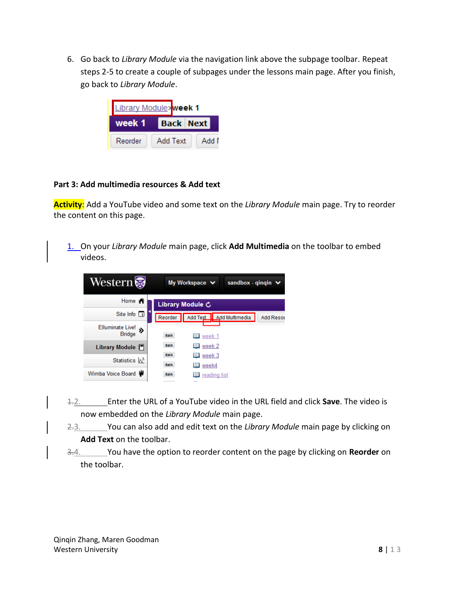6. Go back to *Library Module* via the navigation link above the subpage toolbar. Repeat steps 2-5 to create a couple of subpages under the lessons main page. After you finish, go back to *Library Module*.

| Library Module>week 1 |                  |       |  |  |
|-----------------------|------------------|-------|--|--|
| week 1                | <b>Back Next</b> |       |  |  |
| Reorder               | Add Text         | Add I |  |  |

## **Part 3: Add multimedia resources & Add text**

**Activity**: Add a YouTube video and some text on the *Library Module* main page. Try to reorder the content on this page.

1. On your *Library Module* main page, click **Add Multimedia** on the toolbar to embed videos.



- 1.2. Enter the URL of a YouTube video in the URL field and click **Save**. The video is now embedded on the *Library Module* main page.
- 2.3. You can also add and edit text on the *Library Module* main page by clicking on **Add Text** on the toolbar.
- 3.4. You have the option to reorder content on the page by clicking on **Reorder** on the toolbar.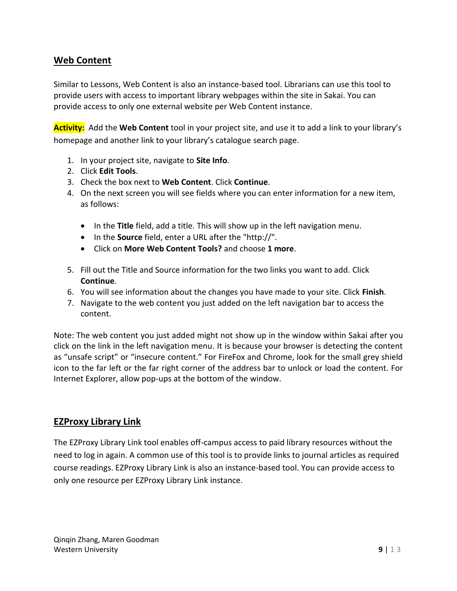# **Web Content**

Similar to Lessons, Web Content is also an instance-based tool. Librarians can use this tool to provide users with access to important library webpages within the site in Sakai. You can provide access to only one external website per Web Content instance.

**Activity:** Add the **Web Content** tool in your project site, and use it to add a link to your library's homepage and another link to your library's catalogue search page.

- 1. In your project site, navigate to **Site Info**.
- 2. Click **Edit Tools**.
- 3. Check the box next to **Web Content**. Click **Continue**.
- 4. On the next screen you will see fields where you can enter information for a new item, as follows:
	- In the **Title** field, add a title. This will show up in the left navigation menu.
	- In the **Source** field, enter a URL after the "http://".
	- Click on **More Web Content Tools?** and choose **1 more**.
- 5. Fill out the Title and Source information for the two links you want to add. Click **Continue**.
- 6. You will see information about the changes you have made to your site. Click **Finish**.
- 7. Navigate to the web content you just added on the left navigation bar to access the content.

Note: The web content you just added might not show up in the window within Sakai after you click on the link in the left navigation menu. It is because your browser is detecting the content as "unsafe script" or "insecure content." For FireFox and Chrome, look for the small grey shield icon to the far left or the far right corner of the address bar to unlock or load the content. For Internet Explorer, allow pop-ups at the bottom of the window.

## **EZProxy Library Link**

The EZProxy Library Link tool enables off-campus access to paid library resources without the need to log in again. A common use of this tool is to provide links to journal articles as required course readings. EZProxy Library Link is also an instance-based tool. You can provide access to only one resource per EZProxy Library Link instance.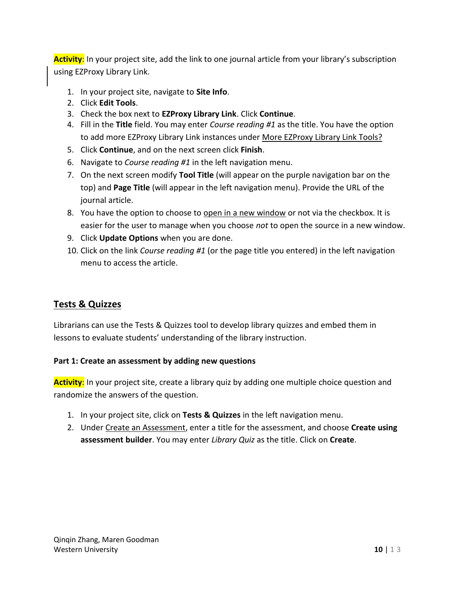**Activity**: In your project site, add the link to one journal article from your library's subscription using EZProxy Library Link.

- 1. In your project site, navigate to **Site Info**.
- 2. Click **Edit Tools**.
- 3. Check the box next to **EZProxy Library Link**. Click **Continue**.
- 4. Fill in the **Title** field. You may enter *Course reading #1* as the title. You have the option to add more EZProxy Library Link instances under More EZProxy Library Link Tools?
- 5. Click **Continue**, and on the next screen click **Finish**.
- 6. Navigate to *Course reading #1* in the left navigation menu.
- 7. On the next screen modify **Tool Title** (will appear on the purple navigation bar on the top) and **Page Title** (will appear in the left navigation menu). Provide the URL of the journal article.
- 8. You have the option to choose to open in a new window or not via the checkbox. It is easier for the user to manage when you choose *not* to open the source in a new window.
- 9. Click **Update Options** when you are done.
- 10. Click on the link *Course reading #1* (or the page title you entered) in the left navigation menu to access the article.

# **Tests & Quizzes**

Librarians can use the Tests & Quizzes tool to develop library quizzes and embed them in lessons to evaluate students' understanding of the library instruction.

## **Part 1: Create an assessment by adding new questions**

**Activity**: In your project site, create a library quiz by adding one multiple choice question and randomize the answers of the question.

- 1. In your project site, click on **Tests & Quizzes** in the left navigation menu.
- 2. Under Create an Assessment, enter a title for the assessment, and choose **Create using assessment builder**. You may enter *Library Quiz* as the title. Click on **Create**.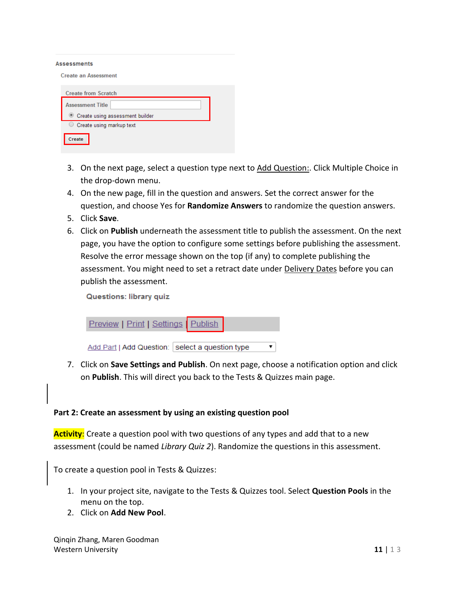#### **Assessments**

| Create an Assessment            |  |
|---------------------------------|--|
| <b>Create from Scratch</b>      |  |
| <b>Assessment Title</b>         |  |
| Create using assessment builder |  |
| Create using markup text        |  |
| Create                          |  |

- 3. On the next page, select a question type next to Add Question: Click Multiple Choice in the drop-down menu.
- 4. On the new page, fill in the question and answers. Set the correct answer for the question, and choose Yes for **Randomize Answers** to randomize the question answers.
- 5. Click **Save**.
- 6. Click on **Publish** underneath the assessment title to publish the assessment. On the next page, you have the option to configure some settings before publishing the assessment. Resolve the error message shown on the top (if any) to complete publishing the assessment. You might need to set a retract date under Delivery Dates before you can publish the assessment.

**Questions: library quiz** 

| Preview   Print   Settings   Publish              |  |
|---------------------------------------------------|--|
| Add Part   Add Question:   select a question type |  |

7. Click on **Save Settings and Publish**. On next page, choose a notification option and click on **Publish**. This will direct you back to the Tests & Quizzes main page.

#### **Part 2: Create an assessment by using an existing question pool**

**Activity**: Create a question pool with two questions of any types and add that to a new assessment (could be named *Library Quiz 2*). Randomize the questions in this assessment.

To create a question pool in Tests & Quizzes:

- 1. In your project site, navigate to the Tests & Quizzes tool. Select **Question Pools** in the menu on the top.
- 2. Click on **Add New Pool**.

Qinqin Zhang, Maren Goodman **Western University 12 and 2008 12 and 2008 12 and 2008 12 and 2008 12 and 2008 12 and 2008 12 and 2008 12 and 2008 12 and 2008 12 and 2008 12 and 2008 12 and 2008 12 and 2008 12 and 2008 12 and 2008 12 and 2008 12 and 200**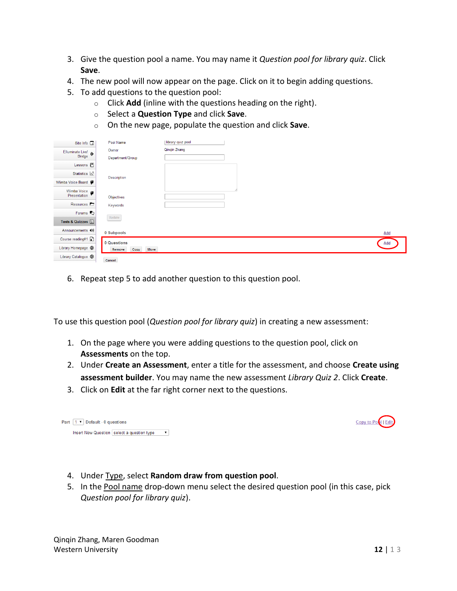- 3. Give the question pool a name. You may name it *Question pool for library quiz*. Click **Save**.
- 4. The new pool will now appear on the page. Click on it to begin adding questions.
- 5. To add questions to the question pool:
	- o Click **Add** (inline with the questions heading on the right).
	- o Select a **Question Type** and click **Save**.
	- o On the new page, populate the question and click **Save**.

| Site Info <b>Ti</b>         | Pool Name              | library quiz pool |     |
|-----------------------------|------------------------|-------------------|-----|
| Elluminate Live! >>         | Owner                  | Qinqin Zhang      |     |
|                             | Department/Group       |                   |     |
| Lessons $\blacksquare$      |                        |                   |     |
| Statistics $\mathbb{A}$     | Description            |                   |     |
| Wimba Voice Board           |                        |                   |     |
| Wimba Voice<br>Presentation | Objectives             |                   |     |
| Resources D                 | Keywords               |                   |     |
| Forums <sub>5</sub>         | Update                 |                   |     |
| Tests & Quizzes             |                        |                   |     |
| Announcements (0)           | 0 Subpools             |                   | Add |
| Course reading#1            | 0 Questions            |                   | Add |
| Library Homepage @          | Move<br>Copy<br>Remove |                   |     |
| Library Catalogue @         | Cancel                 |                   |     |

6. Repeat step 5 to add another question to this question pool.

To use this question pool (*Question pool for library quiz*) in creating a new assessment:

- 1. On the page where you were adding questions to the question pool, click on **Assessments** on the top.
- 2. Under **Create an Assessment**, enter a title for the assessment, and choose **Create using assessment builder**. You may name the new assessment *Library Quiz 2*. Click **Create**.
- 3. Click on **Edit** at the far right corner next to the questions.

| Part $ 1 \rangle$ Pefault - 0 questions |  |                                              |  |  |  |  |
|-----------------------------------------|--|----------------------------------------------|--|--|--|--|
|                                         |  | Insert New Question   select a question type |  |  |  |  |

- 4. Under Type, select **Random draw from question pool**.
- 5. In the Pool name drop-down menu select the desired question pool (in this case, pick *Question pool for library quiz*).